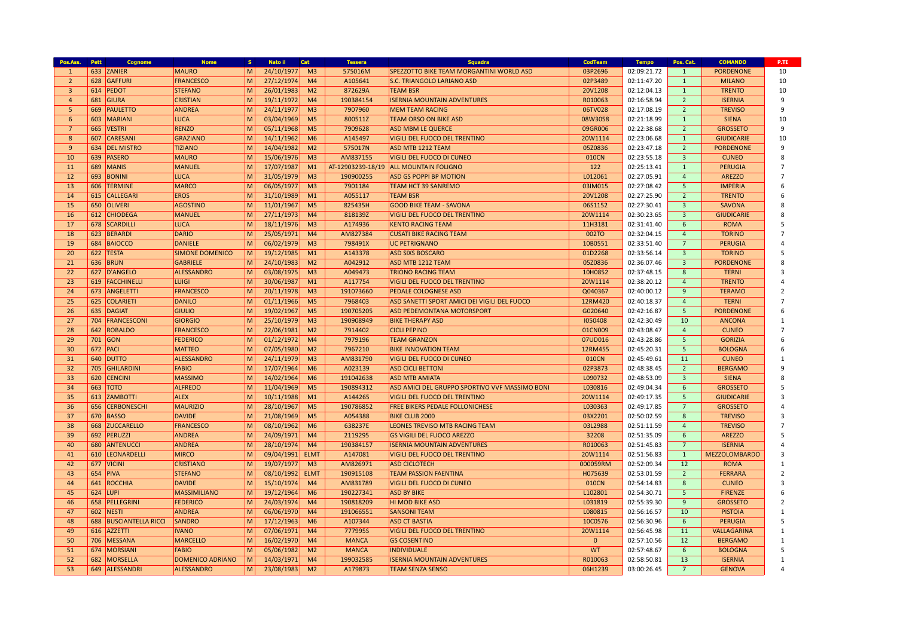| Pos.Ass.       | Pett | Cognome                | <b>Nome</b>             | s.     | Nato il    | Cat                              | <b>Tessera</b>    | <b>Squadra</b>                                  | <b>CodTeam</b> | <b>Tempo</b> | Pos. Cat.               | <b>COMANDO</b>                 | P.TI                |
|----------------|------|------------------------|-------------------------|--------|------------|----------------------------------|-------------------|-------------------------------------------------|----------------|--------------|-------------------------|--------------------------------|---------------------|
| $\mathbf{1}$   |      | 633 ZANIER             | <b>MAURO</b>            | M      | 24/10/1977 | M <sub>3</sub>                   | 575016M           | <b>SPEZZOTTO BIKE TEAM MORGANTINI WORLD ASD</b> | 03P2696        | 02:09:21.72  | $\mathbf{1}$            | <b>PORDENONE</b>               | 10                  |
| $\overline{2}$ |      | 628 GAFFURI            | FRANCESCO               | M      | 27/12/1974 | M <sub>4</sub>                   | A105641           | <b>S.C. TRIANGOLO LARIANO ASD</b>               | 02P3489        | 02:11:47.20  | $\mathbf{1}$            | <b>MILANO</b>                  | 10                  |
| $\overline{3}$ |      | 614 PEDOT              | <b>STEFANO</b>          | M      | 26/01/1983 | M <sub>2</sub>                   | 872629A           | <b>TEAM BSR</b>                                 | 20V1208        | 02:12:04.13  | $\mathbf{1}$            | <b>TRENTO</b>                  | 10                  |
| $\overline{4}$ |      | 681 GIURA              | <b>CRISTIAN</b>         | M      | 19/11/1972 | M <sub>4</sub>                   | 190384154         | <b>ISERNIA MOUNTAIN ADVENTURES</b>              | R010063        | 02:16:58.94  | $\overline{2}$          | <b>ISERNIA</b>                 | 9                   |
| 5              |      | 669 PAULETTO           | ANDREA                  | M      | 24/11/1977 | M <sup>3</sup>                   | 7907960           | <b>MEM TEAM RACING</b>                          | 06TV028        | 02:17:08.19  | $\overline{2}$          | <b>TREVISO</b>                 | 9                   |
| 6              |      | 603 MARIANI            | LUCA                    | M      | 03/04/1969 | M <sub>5</sub>                   | 800511Z           | <b>TEAM ORSO ON BIKE ASD</b>                    | 08W3058        | 02:21:18.99  | $\mathbf{1}$            | <b>SIENA</b>                   | 10                  |
| $\overline{7}$ |      | 665 VESTRI             | <b>RENZO</b>            | M      | 05/11/1968 | M <sub>5</sub>                   | 7909628           | <b>ASD MBM LE QUERCE</b>                        | 09GR006        | 02:22:38.68  | $\overline{2}$          | <b>GROSSETO</b>                | 9                   |
| 8              |      | 607 CARESANI           | <b>GRAZIANO</b>         | M      | 14/11/1962 | M <sub>6</sub>                   | A145497           | <b>VIGILI DEL FUOCO DEL TRENTINO</b>            | 20W1114        | 02:23:06.68  | $\mathbf{1}$            | <b>GIUDICARIE</b>              | 10                  |
| 9              |      | 634 DEL MISTRO         | <b>TIZIANO</b>          | M      | 14/04/1982 | M <sub>2</sub>                   | 575017N           | <b>ASD MTB 1212 TEAM</b>                        | 05Z0836        | 02:23:47.18  | $\overline{2}$          | <b>PORDENONE</b>               | 9                   |
| 10             |      | 639 PASERO             | <b>MAURO</b>            | M      | 15/06/1976 | M <sup>3</sup>                   | AM837155          | <b>VIGILI DEL FUOCO DI CUNEO</b>                | 010CN          | 02:23:55.18  | $\overline{\mathbf{3}}$ | <b>CUNEO</b>                   | 8                   |
| 11             |      | 689 MANIS              | MANUEL                  | M      | 17/07/1987 | M1                               | AT-12903239-18/19 | <b>ALL MOUNTAIN FOLIGNO</b>                     | 122            | 02:25:13.41  | $\mathbf{1}$            | <b>PERUGIA</b>                 | $\overline{7}$      |
| 12             |      | 693 BONINI             | <b>LUCA</b>             | M      | 31/05/1979 | M <sub>3</sub>                   | 190900255         | <b>ASD GS POPPI BP MOTION</b>                   | L012061        | 02:27:05.91  | $\overline{4}$          | <b>AREZZO</b>                  | $\overline{7}$      |
| 13             |      | 606 TERMINE            | <b>MARCO</b>            | M      | 06/05/1977 | M <sub>3</sub>                   | 7901184           | <b>TEAM HCT 39 SANREMO</b>                      | 03IM015        | 02:27:08.42  | 5                       | <b>IMPERIA</b>                 | 6                   |
| 14             |      | 615 CALLEGARI          | <b>EROS</b>             | M      | 31/10/1989 | M1                               | A055117           | <b>TEAM BSR</b>                                 | 20V1208        | 02:27:25.90  | $\overline{2}$          | <b>TRENTO</b>                  | 6                   |
| 15             |      | 650 OLIVERI            | <b>AGOSTINO</b>         | M      | 11/01/1967 | M <sub>5</sub>                   | 825435H           | <b>GOOD BIKE TEAM - SAVONA</b>                  | 06S1152        | 02:27:30.41  | $\overline{3}$          | <b>SAVONA</b>                  | $\mathbf{R}$        |
| 16             |      | 612 CHIODEGA           | MANUEL                  | M      | 27/11/1973 | M <sub>4</sub>                   | 818139Z           | <b>VIGILI DEL FUOCO DEL TRENTINO</b>            | 20W1114        | 02:30:23.65  | $\overline{3}$          | <b>GIUDICARIE</b>              | $\boldsymbol{8}$    |
| 17             |      | 678 SCARDILLI          | <b>LUCA</b>             | M      | 18/11/1976 | M <sub>3</sub>                   | A174936           | <b>KENTO RACING TEAM</b>                        | 11H3181        | 02:31:41.40  | 6                       | <b>ROMA</b>                    | 5                   |
| 18             |      | 623 BERARDI            | DARIO                   | M      | 25/05/1971 | M <sub>4</sub>                   | AM827384          | <b>CUSATI BIKE RACING TEAM</b>                  | 002TO          | 02:32:04.15  | $\overline{4}$          | <b>TORINO</b>                  | $\overline{7}$      |
| 19             |      | 684 BAIOCCO            | <b>DANIELE</b>          | M      | 06/02/1979 | M <sub>3</sub>                   | 798491X           | <b>UC PETRIGNANO</b>                            | 10B0551        | 02:33:51.40  | $\overline{7}$          | <b>PERUGIA</b>                 | $\overline{a}$      |
| 20             |      | 622 TESTA              | <b>SIMONE DOMENICO</b>  | M      | 19/12/1985 | M1                               | A143378           | <b>ASD SIXS BOSCARO</b>                         | 01D2268        | 02:33:56.14  | $\overline{3}$          | <b>TORINO</b>                  | 5                   |
| 21             |      | 636 BRUN               | <b>GABRIELE</b>         | M      | 24/10/1983 | M <sub>2</sub>                   | A042912           | ASD MTB 1212 TEAM                               | 05Z0836        | 02:36:07.46  | $\overline{3}$          | <b>PORDENONE</b>               | $\boldsymbol{8}$    |
| 22             |      | 627 D'ANGELO           | ALESSANDRO              | M      | 03/08/1975 | M <sub>3</sub>                   | A049473           | <b>TRIONO RACING TEAM</b>                       | 10H0852        | 02:37:48.15  | 8                       | <b>TERNI</b>                   | $\overline{3}$      |
| 23             |      | 619 FACCHINELLI        | <b>LUIGI</b>            | M      | 30/06/1987 | M1                               | A117754           | VIGILI DEL FUOCO DEL TRENTINO                   | 20W1114        | 02:38:20.12  | $\overline{4}$          | <b>TRENTO</b>                  | $\overline{4}$      |
| 24             |      | 673 ANGELETTI          | FRANCESCO               | M      | 20/11/1978 | M3                               | 191073660         | <b>PEDALE COLOGNESE ASD</b>                     | Q040367        | 02:40:00.12  | 9                       | <b>TERAMO</b>                  | $\overline{2}$      |
| 25             |      | 625 COLARIETI          | DANILO                  | M      | 01/11/1966 | M <sub>5</sub>                   | 7968403           | ASD SANETTI SPORT AMICI DEI VIGILI DEL FUOCO    | 12RM420        | 02:40:18.37  | $\overline{4}$          | <b>TERNI</b>                   | $\overline{7}$      |
| 26             |      | 635 DAGIAT             | GIULIO                  | M      |            | M <sub>5</sub>                   | 190705205         | <b>ASD PEDEMONTANA MOTORSPORT</b>               | G020640        | 02:42:16.87  | -5                      | <b>PORDENONE</b>               | 6                   |
|                |      |                        |                         |        | 19/02/1967 |                                  |                   |                                                 |                |              |                         |                                |                     |
| 27             |      | 704 FRANCESCONI        | <b>GIORGIO</b>          | M      | 25/10/1979 | M <sub>3</sub>                   | 190908949         | <b>BIKE THERAPY ASD</b>                         | 1050408        | 02:42:30.49  | 10                      | <b>ANCONA</b>                  | 1<br>$\overline{7}$ |
| 28<br>29       |      | 642 ROBALDO            | <b>FRANCESCO</b>        | M<br>M | 22/06/1981 | M <sub>2</sub><br>M <sub>4</sub> | 7914402           | <b>CICLI PEPINO</b>                             | 01CN009        | 02:43:08.47  | $\overline{4}$<br>5     | <b>CUNEO</b><br><b>GORIZIA</b> | 6                   |
|                |      | 701 GON                | <b>FEDERICO</b>         |        | 01/12/1972 |                                  | 7979196           | <b>TEAM GRANZON</b>                             | 07UD016        | 02:43:28.86  |                         |                                |                     |
| 30             |      | 672 PACI               | <b>MATTEO</b>           | M      | 07/05/1980 | M <sub>2</sub>                   | 7967210           | <b>BIKE INNOVATION TEAM</b>                     | 12RM455        | 02:45:20.31  | 5                       | <b>BOLOGNA</b>                 | 6                   |
| 31             |      | 640 DUTTO              | ALESSANDRO              | M      | 24/11/1979 | M <sub>3</sub>                   | AM831790          | <b>VIGILI DEL FUOCO DI CUNEO</b>                | 010CN          | 02:45:49.61  | 11                      | <b>CUNEO</b>                   | $\mathbf{1}$        |
| 32             |      | 705 GHILARDINI         | FABIO                   | M      | 17/07/1964 | M6                               | A023139           | <b>ASD CICLI BETTONI</b>                        | 02P3873        | 02:48:38.45  | $\overline{2}$          | <b>BERGAMO</b>                 | 9                   |
| 33             |      | 620 CENCINI            | MASSIMO                 | M      | 14/02/1964 | M6                               | 191042638         | <b>ASD MTB AMIATA</b>                           | L090732        | 02:48:53.09  | $\overline{3}$          | <b>SIENA</b>                   | $\boldsymbol{8}$    |
| 34             |      | 663 TOTO               | <b>ALFREDO</b>          | M      | 11/04/1969 | M <sub>5</sub>                   | 190894312         | ASD AMICI DEL GRUPPO SPORTIVO VVF MASSIMO BONI  | L030816        | 02:49:04.34  | 6                       | <b>GROSSETO</b>                | 5                   |
| 35             |      | 613 ZAMBOTTI           | <b>ALEX</b>             | M      | 10/11/1988 | M1                               | A144265           | <b>VIGILI DEL FUOCO DEL TRENTINO</b>            | 20W1114        | 02:49:17.35  | -5                      | <b>GIUDICARIE</b>              | $\overline{3}$      |
| 36             |      | 656 CERBONESCHI        | <b>MAURIZIO</b>         | M      | 28/10/1967 | M <sub>5</sub>                   | 190786852         | <b>FREE BIKERS PEDALE FOLLONICHESE</b>          | L030363        | 02:49:17.85  | $7\overline{ }$         | <b>GROSSETO</b>                | $\overline{4}$      |
| 37             |      | 670 BASSO              | <b>DAVIDE</b>           | M      | 21/08/1969 | M <sub>5</sub>                   | A054388           | <b>BIKE CLUB 2000</b>                           | 03X2201        | 02:50:02.59  | 8                       | <b>TREVISO</b>                 | $\overline{3}$      |
| 38             |      | 668 ZUCCARELLO         | <b>FRANCESCO</b>        | M      | 08/10/1962 | M <sub>6</sub>                   | 638237E           | LEONES TREVISO MTB RACING TEAM                  | 03L2988        | 02:51:11.59  | $\overline{4}$          | <b>TREVISO</b>                 | $\overline{7}$      |
| 39             |      | 692 PERUZZI            | ANDREA                  | M      | 24/09/1971 | M <sub>4</sub>                   | 2119295           | <b>GS VIGILI DEL FUOCO AREZZO</b>               | 32208          | 02:51:35.09  | 6                       | <b>AREZZO</b>                  | 5                   |
| 40             |      | 680 ANTENUCCI          | ANDREA                  | M      | 28/10/1974 | M <sub>4</sub>                   | 190384157         | <b>ISERNIA MOUNTAIN ADVENTURES</b>              | R010063        | 02:51:45.83  | $7\overline{ }$         | <b>ISERNIA</b>                 | $\overline{4}$      |
| 41             |      | 610 LEONARDELLI        | MIRCO                   | M      | 09/04/1991 | <b>ELMT</b>                      | A147081           | <b>VIGILI DEL FUOCO DEL TRENTINO</b>            | 20W1114        | 02:51:56.83  | $\mathbf{1}$            | <b>MEZZOLOMBARDO</b>           | $\overline{3}$      |
| 42             |      | 677 VICINI             | <b>CRISTIANO</b>        | M      | 19/07/1977 | M <sub>3</sub>                   | AM826971          | <b>ASD CICLOTECH</b>                            | 000059RM       | 02:52:09.34  | 12                      | <b>ROMA</b>                    | $\mathbf{1}$        |
| 43             |      | $654$ PIVA             | <b>STEFANO</b>          | M      | 08/10/1992 | <b>ELMT</b>                      | 190915108         | <b>TEAM PASSION FAENTINA</b>                    | H075639        | 02:53:01.59  | $\overline{2}$          | <b>FERRARA</b>                 | $\overline{2}$      |
| 44             |      | 641 ROCCHIA            | <b>DAVIDE</b>           | M      | 15/10/1974 | M <sub>4</sub>                   | AM831789          | <b>VIGILI DEL FUOCO DI CUNEO</b>                | 010CN          | 02:54:14.83  | 8                       | <b>CUNEO</b>                   | $\overline{3}$      |
| 45             |      | 624 LUPI               | <b>MASSIMILIANO</b>     | M      | 19/12/1964 | M <sub>6</sub>                   | 190227341         | <b>ASD BY BIKE</b>                              | L102801        | 02:54:30.71  | 5                       | <b>FIRENZE</b>                 | 6                   |
| 46             |      | 658 PELLEGRINI         | <b>FEDERICO</b>         | M      | 24/03/1974 | M4                               | 190818209         | <b>HI MOD BIKE ASD</b>                          | L031819        | 02:55:39.30  | 9                       | <b>GROSSETO</b>                | $\overline{z}$      |
| 47             |      | 602 NESTI              | ANDREA                  | M      | 06/06/1970 | M <sub>4</sub>                   | 191066551         | <b>SANSONI TEAM</b>                             | L080815        | 02:56:16.57  | 10                      | <b>PISTOIA</b>                 | $\mathbf{1}$        |
| 48             |      | 688 BUSCIANTELLA RICCI | SANDRO                  | M      | 17/12/1963 | M6                               | A107344           | <b>ASD CT BASTIA</b>                            | 10C0576        | 02:56:30.96  | 6                       | <b>PERUGIA</b>                 | 5                   |
| 49             |      | 616 AZZETTI            | <b>IVANO</b>            | M      | 07/06/1971 | M4                               | 777995S           | <b>VIGILI DEL FUOCO DEL TRENTINO</b>            | 20W1114        | 02:56:45.98  | 11                      | VALLAGARINA                    | $\mathbf{1}$        |
| 50             |      | 706 MESSANA            | <b>MARCELLO</b>         | M      | 16/02/1970 | M <sub>4</sub>                   | <b>MANCA</b>      | <b>GS COSENTINO</b>                             | $\mathbf{0}$   | 02:57:10.56  | 12                      | <b>BERGAMO</b>                 | $\mathbf{1}$        |
| 51             |      | 674 MORSIANI           | <b>FABIO</b>            | M      | 05/06/1982 | M <sub>2</sub>                   | <b>MANCA</b>      | <b>INDIVIDUALE</b>                              | <b>WT</b>      | 02:57:48.67  | 6                       | <b>BOLOGNA</b>                 | 5                   |
| 52             |      | 682 MORSELLA           | <b>DOMENICO ADRIANO</b> | M      | 14/03/1971 | M <sub>4</sub>                   | 199032585         | <b>ISERNIA MOUNTAIN ADVENTURES</b>              | R010063        | 02:58:50.81  | 13                      | <b>ISERNIA</b>                 | $\mathbf{1}$        |
| 53             |      | 649 ALESSANDRI         | <b>ALESSANDRO</b>       | M      | 23/08/1983 | M <sub>2</sub>                   | A179873           | <b>TEAM SENZA SENSO</b>                         | 06H1239        | 03:00:26.45  | $\overline{7}$          | <b>GENOVA</b>                  | $\overline{a}$      |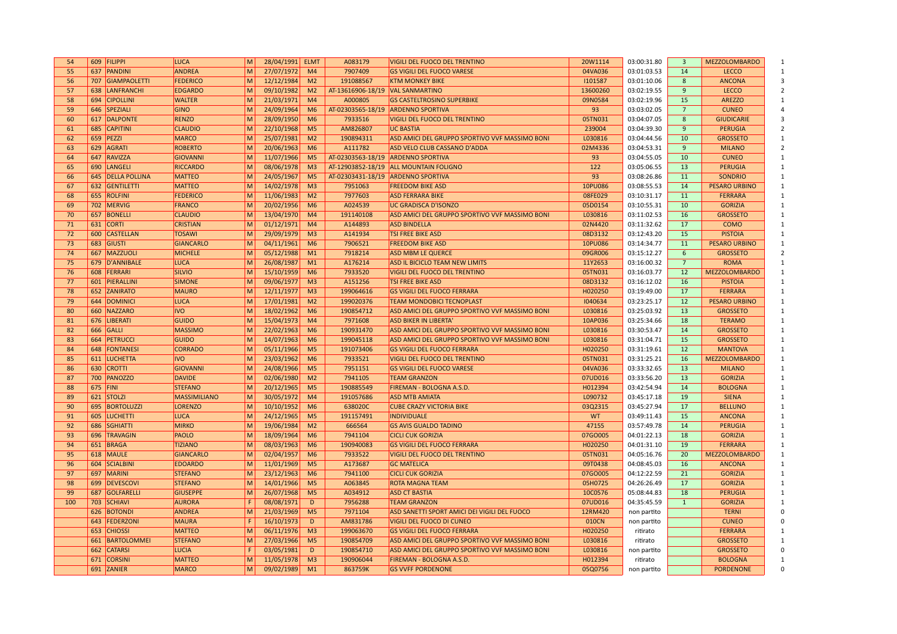| 54  |          | 609 FILIPPI        | <b>LUCA</b>         | M                   | 28/04/1991 ELMT |                | A083179           | VIGILI DEL FUOCO DEL TRENTINO                  | 20W1114   | 03:00:31.80 | $\overline{3}$ | <b>MEZZOLOMBARDO</b> |                |
|-----|----------|--------------------|---------------------|---------------------|-----------------|----------------|-------------------|------------------------------------------------|-----------|-------------|----------------|----------------------|----------------|
| 55  |          | 637 PANDINI        | <b>ANDREA</b>       | M                   | 27/07/1972      | M <sub>4</sub> | 7907409           | <b>GS VIGILI DEL FUOCO VARESE</b>              | 04VA036   | 03:01:03.53 | 14             | <b>LECCO</b>         |                |
| 56  |          | 707 GIAMPAOLETTI   | <b>FEDERICO</b>     | M                   | 12/12/1984      | M <sub>2</sub> | 191088567         | <b>KTM MONKEY BIKE</b>                         | 1101587   | 03:01:10.06 | 8              | <b>ANCONA</b>        | 3              |
| 57  |          | 638 LANFRANCHI     | <b>EDGARDO</b>      | M                   | 09/10/1982      | M <sub>2</sub> | AT-13616906-18/19 | <b>VAL SANMARTINO</b>                          | 13600260  | 03:02:19.55 | $\overline{9}$ | <b>LECCO</b>         | $\overline{2}$ |
| 58  |          | 694 CIPOLLINI      | <b>WALTER</b>       | $\mathsf{M}\xspace$ | 21/03/1971      | M <sub>4</sub> | A000805           | <b>GS CASTELTROSINO SUPERBIKE</b>              | 09N0584   | 03:02:19.96 | 15             | <b>AREZZO</b>        |                |
| 59  |          | 646 SPEZIALI       | <b>GINO</b>         | M                   | 24/09/1964      | M <sub>6</sub> |                   | AT-02303565-18/19 ARDENNO SPORTIVA             | 93        | 03:03:02.05 | $\overline{7}$ | <b>CUNEO</b>         |                |
| 60  |          | 617 DALPONTE       | <b>RENZO</b>        | M                   | 28/09/1950      | M <sub>6</sub> | 7933516           | <b>VIGILI DEL FUOCO DEL TRENTINO</b>           | 05TN031   | 03:04:07.05 | 8              | <b>GIUDICARIE</b>    |                |
| 61  |          | 685 CAPITINI       | <b>CLAUDIO</b>      | M                   | 22/10/1968      | M <sub>5</sub> | AM826807          | <b>UC BASTIA</b>                               | 239004    | 03:04:39.30 | $\overline{9}$ | <b>PERUGIA</b>       |                |
| 62  |          | 659 PEZZI          | <b>MARCO</b>        | M                   | 25/07/1981      | M <sub>2</sub> | 190894311         | ASD AMICI DEL GRUPPO SPORTIVO VVF MASSIMO BONI | L030816   | 03:04:44.56 | 10             | <b>GROSSETO</b>      |                |
| 63  |          | 629 AGRATI         | <b>ROBERTO</b>      | $\mathsf{M}\xspace$ | 20/06/1963      | M6             | A111782           | ASD VELO CLUB CASSANO D'ADDA                   | 02M4336   | 03:04:53.31 | 9              | <b>MILANO</b>        |                |
| 64  |          | 647 RAVIZZA        | <b>GIOVANNI</b>     | M                   | 11/07/1966      | M <sub>5</sub> |                   | AT-02303563-18/19 ARDENNO SPORTIVA             | 93        | 03:04:55.05 | 10             | <b>CUNEO</b>         |                |
| 65  |          | 690 LANGELI        | <b>RICCARDO</b>     | M                   | 08/06/1978      | M <sub>3</sub> | AT-12903852-18/19 | <b>ALL MOUNTAIN FOLIGNO</b>                    | 122       | 03:05:06.55 | 13             | <b>PERUGIA</b>       |                |
| 66  |          | 645 DELLA POLLINA  | <b>MATTEO</b>       | M                   | 24/05/1967      | M <sub>5</sub> | AT-02303431-18/19 | <b>ARDENNO SPORTIVA</b>                        | 93        | 03:08:26.86 | 11             | <b>SONDRIO</b>       |                |
| 67  |          | 632 GENTILETTI     | <b>MATTEO</b>       | M                   | 14/02/1978      | M <sub>3</sub> | 7951063           | <b>FREEDOM BIKE ASD</b>                        | 10PU086   | 03:08:55.53 | 14             | <b>PESARO URBINO</b> | $\mathbf{1}$   |
| 68  |          | 655 ROLFINI        | <b>FEDERICO</b>     | M                   | 11/06/1983      | M <sub>2</sub> | 7977603           | <b>ASD FERRARA BIKE</b>                        | 08FE029   | 03:10:31.17 | 11             | <b>FERRARA</b>       |                |
| 69  |          | 702 MERVIG         | <b>FRANCO</b>       | $\mathsf{M}\xspace$ | 20/02/1956      | M <sub>6</sub> | A024539           | <b>UC GRADISCA D'ISONZO</b>                    | 05D0154   | 03:10:55.31 | 10             | <b>GORIZIA</b>       |                |
| 70  |          | 657 BONELLI        | <b>CLAUDIO</b>      | M                   | 13/04/1970      | M <sub>4</sub> | 191140108         | ASD AMICI DEL GRUPPO SPORTIVO VVF MASSIMO BONI | L030816   | 03:11:02.53 | 16             | <b>GROSSETO</b>      | $\mathbf{1}$   |
| 71  |          | 631 CORTI          | <b>CRISTIAN</b>     | M                   | 01/12/1971      | M <sub>4</sub> | A144893           | <b>ASD BINDELLA</b>                            | 02N4420   | 03:11:32.62 | 17             | <b>COMO</b>          |                |
| 72  |          | 600 CASTELLAN      | <b>TOSAWI</b>       | M                   | 29/09/1979      | M <sub>3</sub> | A141934           | <b>TSI FREE BIKE ASD</b>                       | 08D3132   | 03:12:43.20 | 15             | <b>PISTOIA</b>       |                |
| 73  |          | 683 GIUSTI         | <b>GIANCARLO</b>    | M                   | 04/11/1961      | M <sub>6</sub> | 7906521           | <b>FREEDOM BIKE ASD</b>                        | 10PU086   | 03:14:34.77 | 11             | <b>PESARO URBINO</b> |                |
| 74  |          | 667 MAZZUOLI       | <b>MICHELE</b>      | $\mathsf{M}\xspace$ | 05/12/1988      | M1             | 7918214           | <b>ASD MBM LE QUERCE</b>                       | 09GR006   | 03:15:12.27 | 6              | <b>GROSSETO</b>      |                |
| 75  |          | 679 D'ANNIBALE     | <b>LUCA</b>         | $\mathsf{M}\xspace$ | 26/08/1987      | M1             | A176214           | ASD IL BICICLO TEAM NEW LIMITS                 | 11Y2653   | 03:16:00.32 | $\overline{7}$ | <b>ROMA</b>          | $\overline{1}$ |
| 76  |          | 608 FERRARI        | <b>SILVIO</b>       | M                   | 15/10/1959      | M6             | 7933520           | <b>VIGILI DEL FUOCO DEL TRENTINO</b>           | 05TN031   | 03:16:03.77 | 12             | <b>MEZZOLOMBARDO</b> |                |
| 77  |          | 601 PIERALLINI     | <b>SIMONE</b>       | M                   | 09/06/1977      | M <sub>3</sub> | A151256           | <b>TSI FREE BIKE ASD</b>                       | 08D3132   | 03:16:12.02 | 16             | <b>PISTOIA</b>       |                |
| 78  |          | 652 ZANIRATO       | <b>MAURO</b>        | $\mathsf{M}\xspace$ | 12/11/1977      | M <sub>3</sub> | 199064616         | <b>GS VIGILI DEL FUOCO FERRARA</b>             | H020250   | 03:19:49.00 | 17             | <b>FERRARA</b>       |                |
| 79  |          | 644 DOMINICI       | <b>LUCA</b>         | M                   | 17/01/1981      | M <sub>2</sub> | 199020376         | <b>TEAM MONDOBICI TECNOPLAST</b>               | 1040634   | 03:23:25.17 | 12             | <b>PESARO URBINO</b> |                |
| 80  |          | 660 NAZZARO        | <b>IVO</b>          | M                   | 18/02/1962      | M6             | 190854712         | ASD AMICI DEL GRUPPO SPORTIVO VVF MASSIMO BONI | L030816   |             | 13             |                      | $\mathbf{1}$   |
|     |          |                    |                     | M                   |                 | M <sub>4</sub> |                   |                                                |           | 03:25:03.92 |                | <b>GROSSETO</b>      |                |
| 81  |          | 676 LIBERATI       | <b>GUIDO</b>        |                     | 15/04/1973      |                | 7971608           | <b>ASD BIKER IN LIBERTA'</b>                   | 10AP036   | 03:25:34.66 | 18             | <b>TERAMO</b>        |                |
| 82  |          | 666 GALLI          | <b>MASSIMO</b>      | M                   | 22/02/1963      | M <sub>6</sub> | 190931470         | ASD AMICI DEL GRUPPO SPORTIVO VVF MASSIMO BONI | L030816   | 03:30:53.47 | 14             | <b>GROSSETO</b>      |                |
| 83  |          | 664 PETRUCCI       | <b>GUIDO</b>        | $\mathsf{M}\xspace$ | 14/07/1963      | M <sub>6</sub> | 199045118         | ASD AMICI DEL GRUPPO SPORTIVO VVF MASSIMO BONI | L030816   | 03:31:04.71 | 15             | <b>GROSSETO</b>      |                |
| 84  |          | 648 FONTANESI      | <b>CORRADO</b>      | M                   | 05/11/1966      | M <sub>5</sub> | 191073406         | <b>GS VIGILI DEL FUOCO FERRARA</b>             | H020250   | 03:31:19.61 | 12             | <b>MANTOVA</b>       |                |
| 85  |          | 611 LUCHETTA       | <b>IVO</b>          | M                   | 23/03/1962      | M6             | 7933521           | VIGILI DEL FUOCO DEL TRENTINO                  | 05TN031   | 03:31:25.21 | 16             | <b>MEZZOLOMBARDO</b> | $\mathbf{1}$   |
| 86  |          | 630 CROTTI         | <b>GIOVANNI</b>     | M                   | 24/08/1966      | M <sub>5</sub> | 7951151           | <b>GS VIGILI DEL FUOCO VARESE</b>              | 04VA036   | 03:33:32.65 | 13             | <b>MILANO</b>        |                |
| 87  |          | 700 PANOZZO        | <b>DAVIDE</b>       | M                   | 02/06/1980      | M <sub>2</sub> | 7941105           | <b>TEAM GRANZON</b>                            | 07UD016   | 03:33:56.20 | 13             | <b>GORIZIA</b>       |                |
| 88  | 675 FINI |                    | <b>STEFANO</b>      | M                   | 20/12/1965      | M <sub>5</sub> | 190885549         | FIREMAN - BOLOGNA A.S.D.                       | H012394   | 03:42:54.94 | 14             | <b>BOLOGNA</b>       | $\overline{1}$ |
| 89  |          | 621 STOLZI         | <b>MASSIMILIANO</b> | $\mathsf{M}\xspace$ | 30/05/1972      | M <sub>4</sub> | 191057686         | <b>ASD MTB AMIATA</b>                          | L090732   | 03:45:17.18 | 19             | <b>SIENA</b>         |                |
| 90  |          | 695 BORTOLUZZI     | <b>LORENZO</b>      | M                   | 10/10/1952      | M <sub>6</sub> | 638020C           | <b>CUBE CRAZY VICTORIA BIKE</b>                | 03Q2315   | 03:45:27.94 | 17             | <b>BELLUNO</b>       |                |
| 91  |          | 605 LUCHETTI       | <b>LUCA</b>         | M                   | 24/12/1965      | M <sub>5</sub> | 191157491         | <b>INDIVIDUALE</b>                             | <b>WT</b> | 03:49:11.43 | 15             | <b>ANCONA</b>        |                |
| 92  |          | 686 SGHIATTI       | <b>MIRKO</b>        | M                   | 19/06/1984      | M <sub>2</sub> | 666564            | <b>GS AVIS GUALDO TADINO</b>                   | 47155     | 03:57:49.78 | 14             | <b>PERUGIA</b>       |                |
| 93  |          | 696 TRAVAGIN       | PAOLO               | M                   | 18/09/1964      | M <sub>6</sub> | 7941104           | <b>CICLI CUK GORIZIA</b>                       | 07GO005   | 04:01:22.13 | 18             | <b>GORIZIA</b>       | $\mathbf{1}$   |
| 94  |          | 651 BRAGA          | <b>TIZIANO</b>      | M                   | 08/03/1963      | M6             | 190940083         | <b>GS VIGILI DEL FUOCO FERRARA</b>             | H020250   | 04:01:31.10 | 19             | <b>FERRARA</b>       |                |
| 95  |          | 618 MAULE          | <b>GIANCARLO</b>    | M                   | 02/04/1957      | M <sub>6</sub> | 7933522           | <b>VIGILI DEL FUOCO DEL TRENTINO</b>           | 05TN031   | 04:05:16.76 | 20             | <b>MEZZOLOMBARDO</b> |                |
| 96  |          | 604 SCIALBINI      | <b>EDOARDO</b>      | M                   | 11/01/1969      | M <sub>5</sub> | A173687           | <b>GC MATELICA</b>                             | 09T0438   | 04:08:45.03 | 16             | <b>ANCONA</b>        |                |
| 97  |          | 697 MARINI         | <b>STEFANO</b>      | M                   | 23/12/1963      | M6             | 7941100           | <b>CICLI CUK GORIZIA</b>                       | 07GO005   | 04:12:22.59 | 21             | <b>GORIZIA</b>       |                |
| 98  |          | 699 DEVESCOVI      | <b>STEFANO</b>      | $\mathsf{M}\xspace$ | 14/01/1966      | M <sub>5</sub> | A063845           | <b>ROTA MAGNA TEAM</b>                         | 05H0725   | 04:26:26.49 | 17             | <b>GORIZIA</b>       | 1              |
| 99  |          | 687 GOLFARELLI     | <b>GIUSEPPE</b>     | M                   | 26/07/1968      | M <sub>5</sub> | A034912           | <b>ASD CT BASTIA</b>                           | 10C0576   | 05:08:44.83 | 18             | <b>PERUGIA</b>       |                |
| 100 |          | 703 SCHIAVI        | <b>AURORA</b>       | $\mathsf{F}$        | 08/08/1971      | D              | 7956288           | <b>TEAM GRANZON</b>                            | 07UD016   | 04:35:45.59 | $\mathbf{1}$   | <b>GORIZIA</b>       |                |
|     |          | 626 BOTONDI        | <b>ANDREA</b>       | M                   | 21/03/1969      | M <sub>5</sub> | 7971104           | ASD SANETTI SPORT AMICI DEI VIGILI DEL FUOCO   | 12RM420   | non partito |                | <b>TERNI</b>         | $\Omega$       |
|     | 643      | FEDERZONI          | <b>MAURA</b>        | $\mathsf{F}$        | 16/10/1973      | D              | AM831786          | <b>VIGILI DEL FUOCO DI CUNEO</b>               | 010CN     | non partito |                | <b>CUNEO</b>         |                |
|     |          | 653 CHIOSSI        | <b>MATTEO</b>       | M                   | 06/11/1976      | M <sub>3</sub> | 199063670         | <b>GS VIGILI DEL FUOCO FERRARA</b>             | H020250   | ritirato    |                | <b>FERRARA</b>       |                |
|     | 661      | <b>BARTOLOMMEI</b> | <b>STEFANO</b>      | M                   | 27/03/1966      | M <sub>5</sub> | 190854709         | ASD AMICI DEL GRUPPO SPORTIVO VVF MASSIMO BONI | L030816   | ritirato    |                | <b>GROSSETO</b>      |                |
|     | 662      | <b>CATARSI</b>     | <b>LUCIA</b>        | F                   | 03/05/1981      | D              | 190854710         | ASD AMICI DEL GRUPPO SPORTIVO VVF MASSIMO BONI | L030816   | non partito |                | <b>GROSSETO</b>      |                |
|     | 671      | <b>CORSINI</b>     | <b>MATTEO</b>       | M                   | 11/05/1978      | M <sub>3</sub> | 190906044         | FIREMAN - BOLOGNA A.S.D.                       | H012394   | ritirato    |                | <b>BOLOGNA</b>       | $\overline{1}$ |
|     |          | 691 ZANIER         | <b>MARCO</b>        | M                   | 09/02/1989      | M1             | 863759K           | <b>GS VVFF PORDENONE</b>                       | 05Q0756   | non partito |                | <b>PORDENONE</b>     | $\Omega$       |